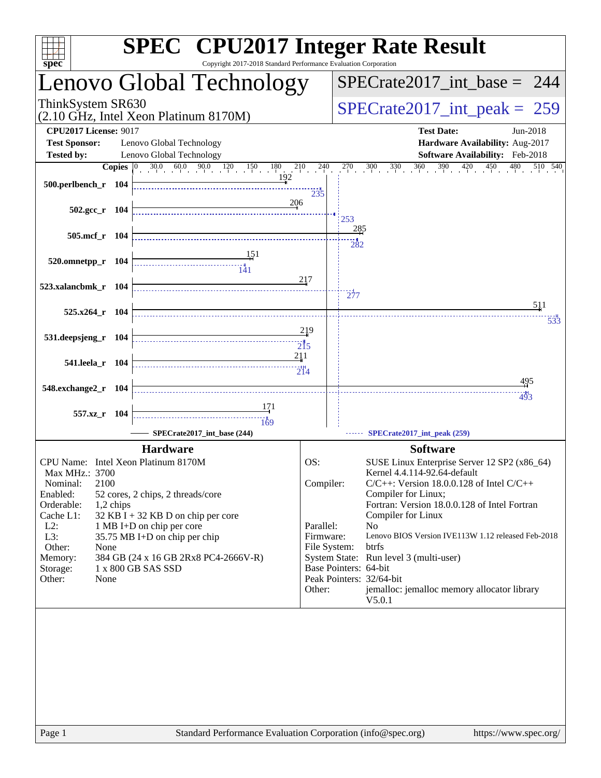| $sp\overline{ec}$                                                                                                                       | <b>SPEC<sup>®</sup></b> CPU2017 Integer Rate Result<br>Copyright 2017-2018 Standard Performance Evaluation Corporation |                                     |                                 |                                                                                                                                                                                                                                              |
|-----------------------------------------------------------------------------------------------------------------------------------------|------------------------------------------------------------------------------------------------------------------------|-------------------------------------|---------------------------------|----------------------------------------------------------------------------------------------------------------------------------------------------------------------------------------------------------------------------------------------|
|                                                                                                                                         | Lenovo Global Technology                                                                                               |                                     |                                 | $SPECTate2017\_int\_base = 244$                                                                                                                                                                                                              |
| ThinkSystem SR630                                                                                                                       | (2.10 GHz, Intel Xeon Platinum 8170M)                                                                                  |                                     | $SPECrate2017\_int\_peak = 259$ |                                                                                                                                                                                                                                              |
| <b>CPU2017 License: 9017</b><br><b>Test Sponsor:</b>                                                                                    | Lenovo Global Technology                                                                                               |                                     |                                 | <b>Test Date:</b><br>Jun-2018<br>Hardware Availability: Aug-2017                                                                                                                                                                             |
| <b>Tested by:</b>                                                                                                                       | Lenovo Global Technology                                                                                               |                                     |                                 | Software Availability: Feb-2018                                                                                                                                                                                                              |
| 500.perlbench_r 104                                                                                                                     | <b>Copies</b> $\begin{bmatrix} 0 & 30.0 & 60.0 & 90.0 & 120 & 150 & 180 & 210 & 240 \end{bmatrix}$<br>192              | 235                                 |                                 | $270$ $300$ $330$ $360$ $390$ $420$ $450$ $480$ :<br>$\overline{510}$ $\overline{540}$                                                                                                                                                       |
| 502.gcc_r 104                                                                                                                           | 206                                                                                                                    |                                     | 253                             |                                                                                                                                                                                                                                              |
| 505.mcf_r 104                                                                                                                           |                                                                                                                        |                                     | 285                             |                                                                                                                                                                                                                                              |
| 520.omnetpp_r 104                                                                                                                       | 151                                                                                                                    |                                     | 282                             |                                                                                                                                                                                                                                              |
| 523.xalancbmk_r 104                                                                                                                     |                                                                                                                        | 217                                 | $\frac{1}{277}$                 | 511                                                                                                                                                                                                                                          |
| $525.x264$ r 104                                                                                                                        |                                                                                                                        |                                     |                                 | 533                                                                                                                                                                                                                                          |
| 531.deepsjeng_r 104                                                                                                                     |                                                                                                                        | 219<br>$\overline{215}$             |                                 |                                                                                                                                                                                                                                              |
| 541.leela_r 104                                                                                                                         |                                                                                                                        | 211<br>$\frac{1}{214}$              |                                 |                                                                                                                                                                                                                                              |
| 548.exchange2_r 104                                                                                                                     |                                                                                                                        |                                     |                                 | <u>495</u><br>493                                                                                                                                                                                                                            |
| 557.xz_r 104                                                                                                                            | 171<br>169                                                                                                             |                                     |                                 |                                                                                                                                                                                                                                              |
|                                                                                                                                         | SPECrate2017_int_base (244)                                                                                            |                                     |                                 | SPECrate2017_int_peak (259)                                                                                                                                                                                                                  |
|                                                                                                                                         | <b>Hardware</b>                                                                                                        |                                     |                                 | <b>Software</b>                                                                                                                                                                                                                              |
| CPU Name: Intel Xeon Platinum 8170M<br>Max MHz.: 3700<br>2100<br>Nominal:<br>Enabled:<br>Orderable:<br>1,2 chips<br>Cache L1:<br>$L2$ : | 52 cores, 2 chips, 2 threads/core<br>$32$ KB I + 32 KB D on chip per core<br>1 MB I+D on chip per core                 | OS:<br>Compiler:<br>Parallel:       |                                 | SUSE Linux Enterprise Server 12 SP2 (x86_64)<br>Kernel 4.4.114-92.64-default<br>$C/C++$ : Version 18.0.0.128 of Intel $C/C++$<br>Compiler for Linux;<br>Fortran: Version 18.0.0.128 of Intel Fortran<br>Compiler for Linux<br>N <sub>o</sub> |
| L3:<br>Other:<br>None<br>Memory:<br>Storage:<br>Other:<br>None                                                                          | 35.75 MB I+D on chip per chip<br>384 GB (24 x 16 GB 2Rx8 PC4-2666V-R)<br>1 x 800 GB SAS SSD                            | Firmware:<br>File System:<br>Other: |                                 | Lenovo BIOS Version IVE113W 1.12 released Feb-2018<br>btrfs<br>System State: Run level 3 (multi-user)<br>Base Pointers: 64-bit<br>Peak Pointers: 32/64-bit<br>jemalloc: jemalloc memory allocator library<br>V5.0.1                          |
|                                                                                                                                         |                                                                                                                        |                                     |                                 |                                                                                                                                                                                                                                              |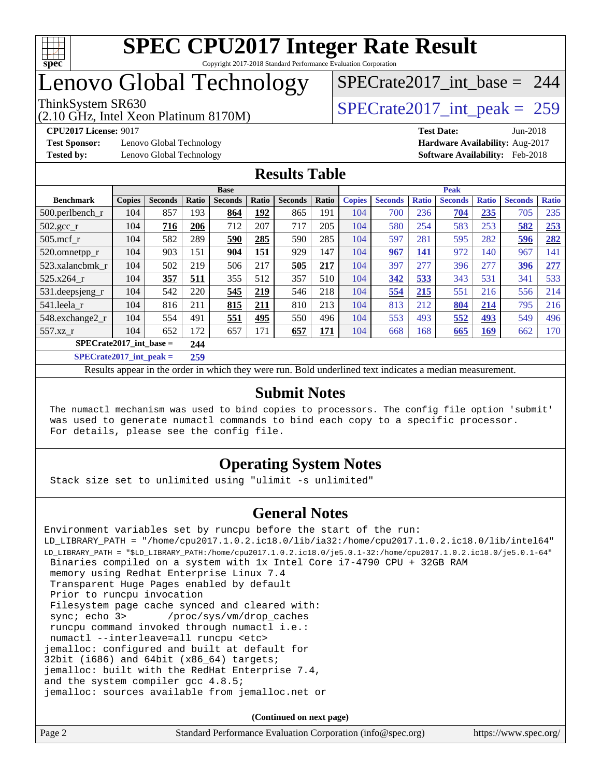

# Lenovo Global Technology

(2.10 GHz, Intel Xeon Platinum 8170M)

**[Test Sponsor:](http://www.spec.org/auto/cpu2017/Docs/result-fields.html#TestSponsor)** Lenovo Global Technology **[Hardware Availability:](http://www.spec.org/auto/cpu2017/Docs/result-fields.html#HardwareAvailability)** Aug-2017

[SPECrate2017\\_int\\_base =](http://www.spec.org/auto/cpu2017/Docs/result-fields.html#SPECrate2017intbase) 244

ThinkSystem SR630<br>  $(2.10 \text{ GHz. Intel Yoon Plotinum } 8170 \text{M})$   $\text{SPECrate} 2017\_int\_peak = 259$ 

**[CPU2017 License:](http://www.spec.org/auto/cpu2017/Docs/result-fields.html#CPU2017License)** 9017 **[Test Date:](http://www.spec.org/auto/cpu2017/Docs/result-fields.html#TestDate)** Jun-2018 **[Tested by:](http://www.spec.org/auto/cpu2017/Docs/result-fields.html#Testedby)** Lenovo Global Technology **[Software Availability:](http://www.spec.org/auto/cpu2017/Docs/result-fields.html#SoftwareAvailability)** Feb-2018

### **[Results Table](http://www.spec.org/auto/cpu2017/Docs/result-fields.html#ResultsTable)**

|                           |               |                |       | <b>Base</b>    |             |                |       | <b>Peak</b>   |                |              |                |              |                |              |
|---------------------------|---------------|----------------|-------|----------------|-------------|----------------|-------|---------------|----------------|--------------|----------------|--------------|----------------|--------------|
| <b>Benchmark</b>          | <b>Copies</b> | <b>Seconds</b> | Ratio | <b>Seconds</b> | Ratio       | <b>Seconds</b> | Ratio | <b>Copies</b> | <b>Seconds</b> | <b>Ratio</b> | <b>Seconds</b> | <b>Ratio</b> | <b>Seconds</b> | <b>Ratio</b> |
| $500.$ perlbench_r        | 104           | 857            | 193   | 864            | <u> 192</u> | 865            | 191   | 104           | 700            | 236          | 704            | 235          | 705            | 235          |
| $502.\text{gcc\_r}$       | 104           | 716            | 206   | 712            | 207         | 717            | 205   | 104           | 580            | 254          | 583            | 253          | 582            | 253          |
| $505$ .mcf r              | 104           | 582            | 289   | 590            | 285         | 590            | 285   | 104           | 597            | 281          | 595            | 282          | 596            | 282          |
| 520.omnetpp_r             | 104           | 903            | 151   | 904            | 151         | 929            | 147   | 104           | 967            | 141          | 972            | 140          | 967            | 141          |
| 523.xalancbmk r           | 104           | 502            | 219   | 506            | 217         | 505            | 217   | 104           | 397            | 277          | 396            | 277          | 396            | 277          |
| 525.x264 r                | 104           | 357            | 511   | 355            | 512         | 357            | 510   | 104           | 342            | 533          | 343            | 531          | 341            | 533          |
| 531.deepsjeng_r           | 104           | 542            | 220   | 545            | 219         | 546            | 218   | 104           | 554            | 215          | 551            | 216          | 556            | 214          |
| 541.leela r               | 104           | 816            | 211   | 815            | 211         | 810            | 213   | 104           | 813            | 212          | 804            | 214          | 795            | 216          |
| 548.exchange2_r           | 104           | 554            | 491   | 551            | 495         | 550            | 496   | 104           | 553            | 493          | 552            | 493          | 549            | 496          |
| 557.xz r                  | 104           | 652            | 172   | 657            | 171         | 657            | 171   | 104           | 668            | 168          | 665            | <u>169</u>   | 662            | 170          |
| $SPECrate2017$ int base = |               |                | 244   |                |             |                |       |               |                |              |                |              |                |              |
| 20                        |               |                |       |                |             |                |       |               |                |              |                |              |                |              |

**[SPECrate2017\\_int\\_peak =](http://www.spec.org/auto/cpu2017/Docs/result-fields.html#SPECrate2017intpeak) 259**

Results appear in the [order in which they were run](http://www.spec.org/auto/cpu2017/Docs/result-fields.html#RunOrder). Bold underlined text [indicates a median measurement](http://www.spec.org/auto/cpu2017/Docs/result-fields.html#Median).

#### **[Submit Notes](http://www.spec.org/auto/cpu2017/Docs/result-fields.html#SubmitNotes)**

 The numactl mechanism was used to bind copies to processors. The config file option 'submit' was used to generate numactl commands to bind each copy to a specific processor. For details, please see the config file.

### **[Operating System Notes](http://www.spec.org/auto/cpu2017/Docs/result-fields.html#OperatingSystemNotes)**

Stack size set to unlimited using "ulimit -s unlimited"

### **[General Notes](http://www.spec.org/auto/cpu2017/Docs/result-fields.html#GeneralNotes)**

Environment variables set by runcpu before the start of the run: LD\_LIBRARY\_PATH = "/home/cpu2017.1.0.2.ic18.0/lib/ia32:/home/cpu2017.1.0.2.ic18.0/lib/intel64" LD\_LIBRARY\_PATH = "\$LD\_LIBRARY\_PATH:/home/cpu2017.1.0.2.ic18.0/je5.0.1-32:/home/cpu2017.1.0.2.ic18.0/je5.0.1-64" Binaries compiled on a system with 1x Intel Core i7-4790 CPU + 32GB RAM memory using Redhat Enterprise Linux 7.4 Transparent Huge Pages enabled by default Prior to runcpu invocation Filesystem page cache synced and cleared with: sync; echo 3> /proc/sys/vm/drop\_caches runcpu command invoked through numactl i.e.: numactl --interleave=all runcpu <etc> jemalloc: configured and built at default for 32bit (i686) and 64bit (x86\_64) targets; jemalloc: built with the RedHat Enterprise 7.4, and the system compiler gcc 4.8.5; jemalloc: sources available from jemalloc.net or

**(Continued on next page)**

| Page 2<br>Standard Performance Evaluation Corporation (info@spec.org)<br>https://www.spec.org/ |  |
|------------------------------------------------------------------------------------------------|--|
|------------------------------------------------------------------------------------------------|--|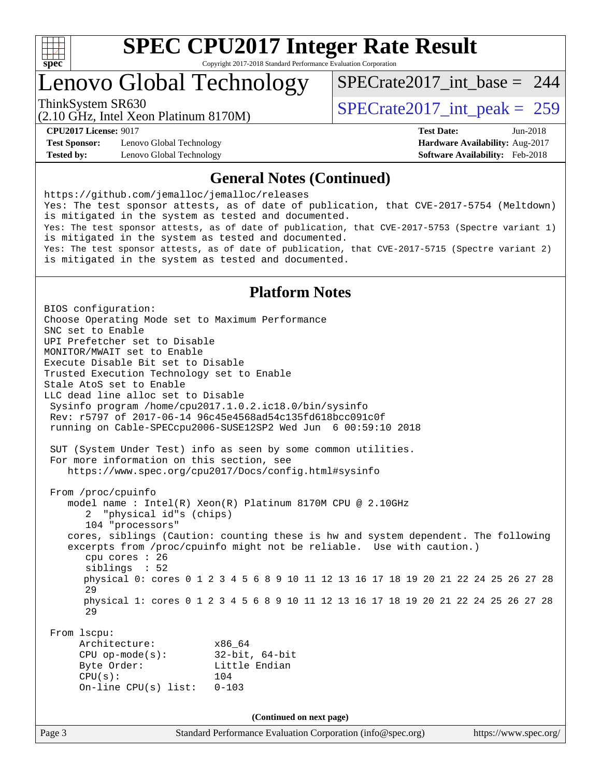

### Lenovo Global Technology

[SPECrate2017\\_int\\_base =](http://www.spec.org/auto/cpu2017/Docs/result-fields.html#SPECrate2017intbase) 244

(2.10 GHz, Intel Xeon Platinum 8170M) ThinkSystem SR630<br>  $\angle Q$  10 GHz, Intel Year Platinum 8170M

**[Test Sponsor:](http://www.spec.org/auto/cpu2017/Docs/result-fields.html#TestSponsor)** Lenovo Global Technology **[Hardware Availability:](http://www.spec.org/auto/cpu2017/Docs/result-fields.html#HardwareAvailability)** Aug-2017 **[Tested by:](http://www.spec.org/auto/cpu2017/Docs/result-fields.html#Testedby)** Lenovo Global Technology **[Software Availability:](http://www.spec.org/auto/cpu2017/Docs/result-fields.html#SoftwareAvailability)** Feb-2018

**[CPU2017 License:](http://www.spec.org/auto/cpu2017/Docs/result-fields.html#CPU2017License)** 9017 **[Test Date:](http://www.spec.org/auto/cpu2017/Docs/result-fields.html#TestDate)** Jun-2018

#### **[General Notes \(Continued\)](http://www.spec.org/auto/cpu2017/Docs/result-fields.html#GeneralNotes)**

<https://github.com/jemalloc/jemalloc/releases> Yes: The test sponsor attests, as of date of publication, that CVE-2017-5754 (Meltdown) is mitigated in the system as tested and documented. Yes: The test sponsor attests, as of date of publication, that CVE-2017-5753 (Spectre variant 1) is mitigated in the system as tested and documented. Yes: The test sponsor attests, as of date of publication, that CVE-2017-5715 (Spectre variant 2) is mitigated in the system as tested and documented.

### **[Platform Notes](http://www.spec.org/auto/cpu2017/Docs/result-fields.html#PlatformNotes)**

Page 3 Standard Performance Evaluation Corporation [\(info@spec.org\)](mailto:info@spec.org) <https://www.spec.org/> BIOS configuration: Choose Operating Mode set to Maximum Performance SNC set to Enable UPI Prefetcher set to Disable MONITOR/MWAIT set to Enable Execute Disable Bit set to Disable Trusted Execution Technology set to Enable Stale AtoS set to Enable LLC dead line alloc set to Disable Sysinfo program /home/cpu2017.1.0.2.ic18.0/bin/sysinfo Rev: r5797 of 2017-06-14 96c45e4568ad54c135fd618bcc091c0f running on Cable-SPECcpu2006-SUSE12SP2 Wed Jun 6 00:59:10 2018 SUT (System Under Test) info as seen by some common utilities. For more information on this section, see <https://www.spec.org/cpu2017/Docs/config.html#sysinfo> From /proc/cpuinfo model name : Intel(R) Xeon(R) Platinum 8170M CPU @ 2.10GHz 2 "physical id"s (chips) 104 "processors" cores, siblings (Caution: counting these is hw and system dependent. The following excerpts from /proc/cpuinfo might not be reliable. Use with caution.) cpu cores : 26 siblings : 52 physical 0: cores 0 1 2 3 4 5 6 8 9 10 11 12 13 16 17 18 19 20 21 22 24 25 26 27 28 29 physical 1: cores 0 1 2 3 4 5 6 8 9 10 11 12 13 16 17 18 19 20 21 22 24 25 26 27 28 29 From lscpu: Architecture: x86\_64 CPU op-mode(s): 32-bit, 64-bit Byte Order: Little Endian CPU(s): 104 On-line CPU(s) list: 0-103 **(Continued on next page)**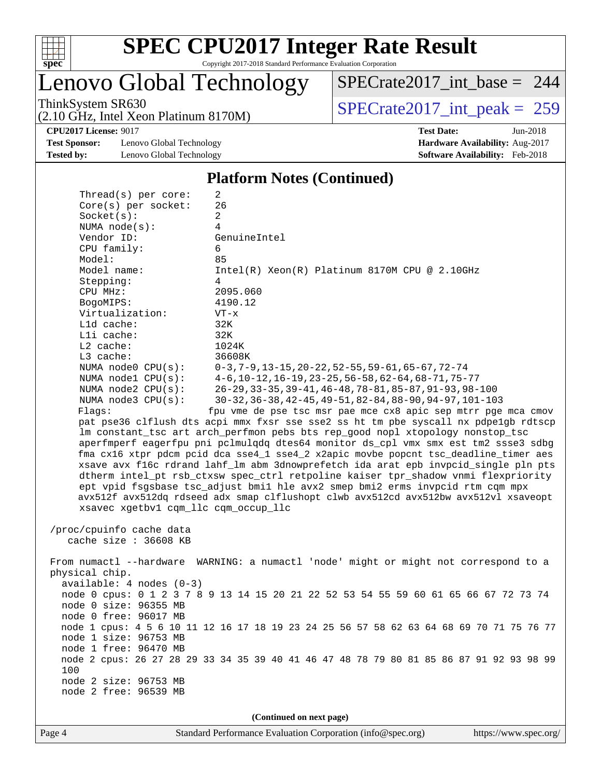

Lenovo Global Technology

[SPECrate2017\\_int\\_base =](http://www.spec.org/auto/cpu2017/Docs/result-fields.html#SPECrate2017intbase) 244

(2.10 GHz, Intel Xeon Platinum 8170M) ThinkSystem SR630<br>  $(2.10 \text{ GHz})$  Intel Xeon Platinum 8170M) [SPECrate2017\\_int\\_peak =](http://www.spec.org/auto/cpu2017/Docs/result-fields.html#SPECrate2017intpeak) 259

**[Test Sponsor:](http://www.spec.org/auto/cpu2017/Docs/result-fields.html#TestSponsor)** Lenovo Global Technology **[Hardware Availability:](http://www.spec.org/auto/cpu2017/Docs/result-fields.html#HardwareAvailability)** Aug-2017 **[Tested by:](http://www.spec.org/auto/cpu2017/Docs/result-fields.html#Testedby)** Lenovo Global Technology **[Software Availability:](http://www.spec.org/auto/cpu2017/Docs/result-fields.html#SoftwareAvailability)** Feb-2018

**[CPU2017 License:](http://www.spec.org/auto/cpu2017/Docs/result-fields.html#CPU2017License)** 9017 **[Test Date:](http://www.spec.org/auto/cpu2017/Docs/result-fields.html#TestDate)** Jun-2018

#### **[Platform Notes \(Continued\)](http://www.spec.org/auto/cpu2017/Docs/result-fields.html#PlatformNotes)**

| Thread(s) per core:                  | 2                                                                                       |
|--------------------------------------|-----------------------------------------------------------------------------------------|
| Core(s) per socket:                  | 26                                                                                      |
| Socket(s):                           | 2                                                                                       |
| NUMA $node(s):$                      | 4                                                                                       |
| Vendor ID:                           | GenuineIntel                                                                            |
| CPU family:                          | 6                                                                                       |
| Model:                               | 85                                                                                      |
| Model name:                          | $Intel(R) Xeon(R) Platinum 8170M CPU @ 2.10GHz$                                         |
| Stepping:                            | 4                                                                                       |
| CPU MHz:                             | 2095.060                                                                                |
| BogoMIPS:                            | 4190.12                                                                                 |
| Virtualization:                      | $VT - x$                                                                                |
| L1d cache:                           | 32K                                                                                     |
| Lli cache:                           | 32K                                                                                     |
| $L2$ cache:                          | 1024K                                                                                   |
| L3 cache:                            | 36608K                                                                                  |
| NUMA $node0$ $CPU(s)$ :              | $0-3, 7-9, 13-15, 20-22, 52-55, 59-61, 65-67, 72-74$                                    |
| NUMA $node1$ $CPU(s):$               | $4-6$ , 10-12, 16-19, 23-25, 56-58, 62-64, 68-71, 75-77                                 |
| NUMA $node2$ $CPU(s)$ :              | 26-29, 33-35, 39-41, 46-48, 78-81, 85-87, 91-93, 98-100                                 |
| NUMA node3 CPU(s):                   | 30-32, 36-38, 42-45, 49-51, 82-84, 88-90, 94-97, 101-103                                |
| Flaqs:                               | fpu vme de pse tsc msr pae mce cx8 apic sep mtrr pge mca cmov                           |
|                                      | pat pse36 clflush dts acpi mmx fxsr sse sse2 ss ht tm pbe syscall nx pdpelgb rdtscp     |
|                                      | lm constant_tsc art arch_perfmon pebs bts rep_good nopl xtopology nonstop_tsc           |
|                                      | aperfmperf eagerfpu pni pclmulqdq dtes64 monitor ds_cpl vmx smx est tm2 ssse3 sdbg      |
|                                      | fma cx16 xtpr pdcm pcid dca sse4_1 sse4_2 x2apic movbe popcnt tsc_deadline_timer aes    |
|                                      | xsave avx f16c rdrand lahf_lm abm 3dnowprefetch ida arat epb invpcid_single pln pts     |
|                                      | dtherm intel_pt rsb_ctxsw spec_ctrl retpoline kaiser tpr_shadow vnmi flexpriority       |
|                                      |                                                                                         |
|                                      | ept vpid fsgsbase tsc_adjust bmil hle avx2 smep bmi2 erms invpcid rtm cqm mpx           |
|                                      | avx512f avx512dq rdseed adx smap clflushopt clwb avx512cd avx512bw avx512vl xsaveopt    |
| xsavec xgetbvl cqm_llc cqm_occup_llc |                                                                                         |
|                                      |                                                                                         |
| /proc/cpuinfo cache data             |                                                                                         |
| cache size : 36608 KB                |                                                                                         |
|                                      |                                                                                         |
|                                      | From numactl --hardware WARNING: a numactl 'node' might or might not correspond to a    |
| physical chip.                       |                                                                                         |
| $available: 4 nodes (0-3)$           |                                                                                         |
|                                      | node 0 cpus: 0 1 2 3 7 8 9 13 14 15 20 21 22 52 53 54 55 59 60 61 65 66 67 72 73 74     |
| node 0 size: 96355 MB                |                                                                                         |
| node 0 free: 96017 MB                |                                                                                         |
|                                      | node 1 cpus: 4 5 6 10 11 12 16 17 18 19 23 24 25 56 57 58 62 63 64 68 69 70 71 75 76 77 |
| node 1 size: 96753 MB                |                                                                                         |
| node 1 free: 96470 MB                |                                                                                         |
|                                      | node 2 cpus: 26 27 28 29 33 34 35 39 40 41 46 47 48 78 79 80 81 85 86 87 91 92 93 98 99 |
| 100                                  |                                                                                         |
| node 2 size: 96753 MB                |                                                                                         |
| node 2 free: 96539 MB                |                                                                                         |
|                                      |                                                                                         |
|                                      | (Continued on next page)                                                                |
|                                      |                                                                                         |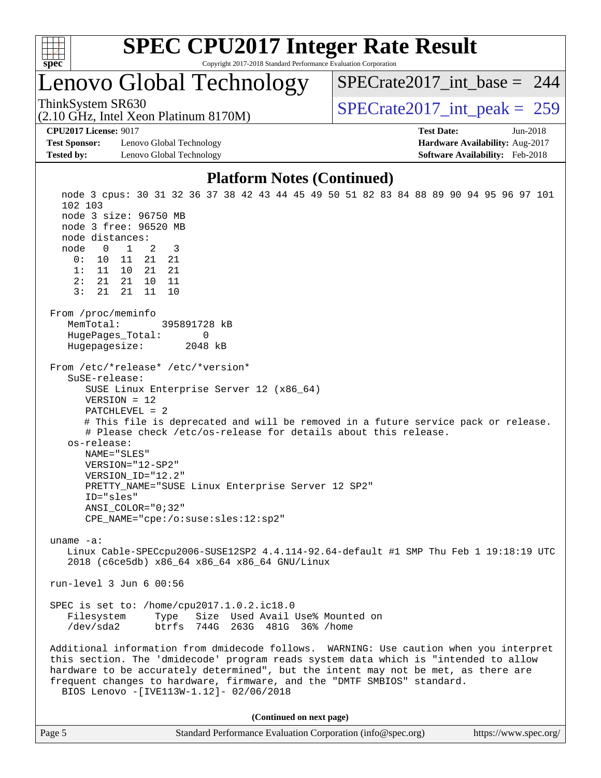

### Lenovo Global Technology

ThinkSystem SR630<br>  $\angle Q$  10 GHz, Intel Year Platinum 8170M [SPECrate2017\\_int\\_base =](http://www.spec.org/auto/cpu2017/Docs/result-fields.html#SPECrate2017intbase) 244

(2.10 GHz, Intel Xeon Platinum 8170M)

**[Test Sponsor:](http://www.spec.org/auto/cpu2017/Docs/result-fields.html#TestSponsor)** Lenovo Global Technology **[Hardware Availability:](http://www.spec.org/auto/cpu2017/Docs/result-fields.html#HardwareAvailability)** Aug-2017 **[Tested by:](http://www.spec.org/auto/cpu2017/Docs/result-fields.html#Testedby)** Lenovo Global Technology **[Software Availability:](http://www.spec.org/auto/cpu2017/Docs/result-fields.html#SoftwareAvailability)** Feb-2018

**[CPU2017 License:](http://www.spec.org/auto/cpu2017/Docs/result-fields.html#CPU2017License)** 9017 **[Test Date:](http://www.spec.org/auto/cpu2017/Docs/result-fields.html#TestDate)** Jun-2018

#### **[Platform Notes \(Continued\)](http://www.spec.org/auto/cpu2017/Docs/result-fields.html#PlatformNotes)**

 node 3 cpus: 30 31 32 36 37 38 42 43 44 45 49 50 51 82 83 84 88 89 90 94 95 96 97 101 102 103 node 3 size: 96750 MB node 3 free: 96520 MB node distances: node 0 1 2 3 0: 10 11 21 21 1: 11 10 21 21 2: 21 21 10 11 3: 21 21 11 10 From /proc/meminfo MemTotal: 395891728 kB HugePages\_Total: 0 Hugepagesize: 2048 kB From /etc/\*release\* /etc/\*version\* SuSE-release: SUSE Linux Enterprise Server 12 (x86\_64) VERSION = 12 PATCHLEVEL = 2 # This file is deprecated and will be removed in a future service pack or release. # Please check /etc/os-release for details about this release. os-release: NAME="SLES" VERSION="12-SP2" VERSION\_ID="12.2" PRETTY\_NAME="SUSE Linux Enterprise Server 12 SP2" ID="sles" ANSI\_COLOR="0;32" CPE\_NAME="cpe:/o:suse:sles:12:sp2" uname -a: Linux Cable-SPECcpu2006-SUSE12SP2 4.4.114-92.64-default #1 SMP Thu Feb 1 19:18:19 UTC 2018 (c6ce5db) x86\_64 x86\_64 x86\_64 GNU/Linux run-level 3 Jun 6 00:56 SPEC is set to: /home/cpu2017.1.0.2.ic18.0 Filesystem Type Size Used Avail Use% Mounted on /dev/sda2 btrfs 744G 263G 481G 36% /home Additional information from dmidecode follows. WARNING: Use caution when you interpret this section. The 'dmidecode' program reads system data which is "intended to allow hardware to be accurately determined", but the intent may not be met, as there are frequent changes to hardware, firmware, and the "DMTF SMBIOS" standard. BIOS Lenovo -[IVE113W-1.12]- 02/06/2018 **(Continued on next page)**

| Page 5 | Standard Performance Evaluation Corporation (info@spec.org) | https://www.spec.org/ |
|--------|-------------------------------------------------------------|-----------------------|
|--------|-------------------------------------------------------------|-----------------------|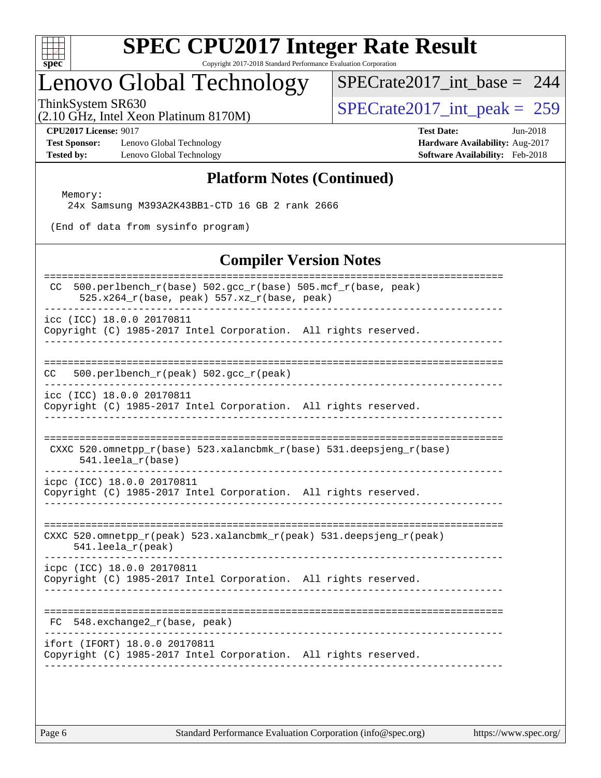

### Lenovo Global Technology

[SPECrate2017\\_int\\_base =](http://www.spec.org/auto/cpu2017/Docs/result-fields.html#SPECrate2017intbase) 244

(2.10 GHz, Intel Xeon Platinum 8170M) ThinkSystem SR630<br>(2.10 GHz, Intel Xeon Platinum 8170M)  $SPECrate2017\_int\_peak = 259$ 

**[Test Sponsor:](http://www.spec.org/auto/cpu2017/Docs/result-fields.html#TestSponsor)** Lenovo Global Technology **[Hardware Availability:](http://www.spec.org/auto/cpu2017/Docs/result-fields.html#HardwareAvailability)** Aug-2017 **[Tested by:](http://www.spec.org/auto/cpu2017/Docs/result-fields.html#Testedby)** Lenovo Global Technology **[Software Availability:](http://www.spec.org/auto/cpu2017/Docs/result-fields.html#SoftwareAvailability)** Feb-2018

**[CPU2017 License:](http://www.spec.org/auto/cpu2017/Docs/result-fields.html#CPU2017License)** 9017 **[Test Date:](http://www.spec.org/auto/cpu2017/Docs/result-fields.html#TestDate)** Jun-2018

### **[Platform Notes \(Continued\)](http://www.spec.org/auto/cpu2017/Docs/result-fields.html#PlatformNotes)**

 Memory: 24x Samsung M393A2K43BB1-CTD 16 GB 2 rank 2666

(End of data from sysinfo program)

#### **[Compiler Version Notes](http://www.spec.org/auto/cpu2017/Docs/result-fields.html#CompilerVersionNotes)**

| 500.perlbench_r(base) 502.gcc_r(base) 505.mcf_r(base, peak)<br>CC.<br>525.x264_r(base, peak) 557.xz_r(base, peak)         |
|---------------------------------------------------------------------------------------------------------------------------|
| icc (ICC) 18.0.0 20170811<br>Copyright (C) 1985-2017 Intel Corporation. All rights reserved.                              |
|                                                                                                                           |
| 500.perlbench_r(peak) 502.gcc_r(peak)<br>CC.                                                                              |
| icc (ICC) 18.0.0 20170811<br>Copyright (C) 1985-2017 Intel Corporation. All rights reserved.                              |
| CXXC $520.\text{omnetpp_r(base)}$ $523.\text{xalancbmk_r(base)}$ $531.\text{deepsjeng_r(base)}$<br>$541.$ leela $r(base)$ |
| icpc (ICC) 18.0.0 20170811<br>Copyright (C) 1985-2017 Intel Corporation. All rights reserved.                             |
| CXXC 520.omnetpp_r(peak) 523.xalancbmk_r(peak) 531.deepsjeng_r(peak)<br>$541.$ leela_r(peak)                              |
| icpc (ICC) 18.0.0 20170811<br>Copyright (C) 1985-2017 Intel Corporation. All rights reserved.                             |
| 548.exchange2_r(base, peak)<br>FC                                                                                         |
| ifort (IFORT) 18.0.0 20170811<br>Copyright (C) 1985-2017 Intel Corporation. All rights reserved.                          |
|                                                                                                                           |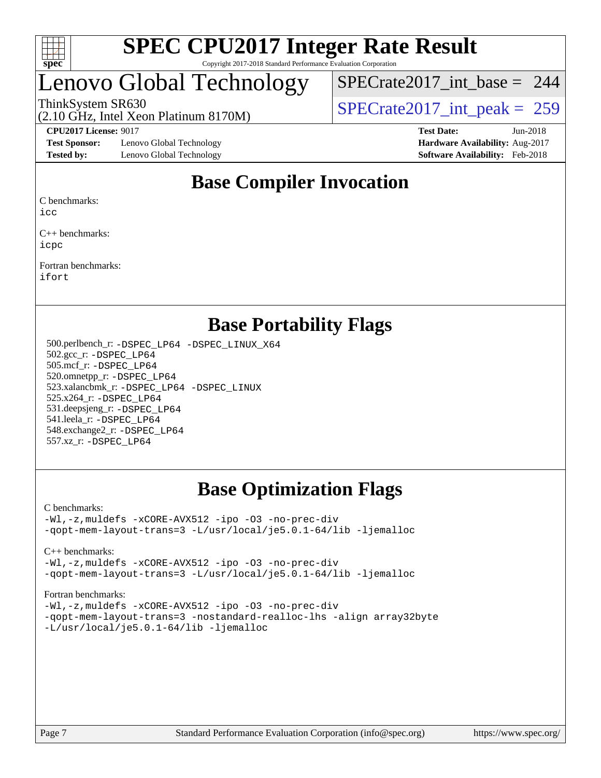

### Lenovo Global Technology

[SPECrate2017\\_int\\_base =](http://www.spec.org/auto/cpu2017/Docs/result-fields.html#SPECrate2017intbase) 244

(2.10 GHz, Intel Xeon Platinum 8170M)

ThinkSystem SR630<br>  $\frac{1}{2}$  [SPECrate2017\\_int\\_peak =](http://www.spec.org/auto/cpu2017/Docs/result-fields.html#SPECrate2017intpeak) 259

**[Test Sponsor:](http://www.spec.org/auto/cpu2017/Docs/result-fields.html#TestSponsor)** Lenovo Global Technology **[Hardware Availability:](http://www.spec.org/auto/cpu2017/Docs/result-fields.html#HardwareAvailability)** Aug-2017 **[Tested by:](http://www.spec.org/auto/cpu2017/Docs/result-fields.html#Testedby)** Lenovo Global Technology **[Software Availability:](http://www.spec.org/auto/cpu2017/Docs/result-fields.html#SoftwareAvailability)** Feb-2018

**[CPU2017 License:](http://www.spec.org/auto/cpu2017/Docs/result-fields.html#CPU2017License)** 9017 **[Test Date:](http://www.spec.org/auto/cpu2017/Docs/result-fields.html#TestDate)** Jun-2018

### **[Base Compiler Invocation](http://www.spec.org/auto/cpu2017/Docs/result-fields.html#BaseCompilerInvocation)**

[C benchmarks:](http://www.spec.org/auto/cpu2017/Docs/result-fields.html#Cbenchmarks)

[icc](http://www.spec.org/cpu2017/results/res2018q2/cpu2017-20180611-06749.flags.html#user_CCbase_intel_icc_18.0_66fc1ee009f7361af1fbd72ca7dcefbb700085f36577c54f309893dd4ec40d12360134090235512931783d35fd58c0460139e722d5067c5574d8eaf2b3e37e92)

[C++ benchmarks](http://www.spec.org/auto/cpu2017/Docs/result-fields.html#CXXbenchmarks): [icpc](http://www.spec.org/cpu2017/results/res2018q2/cpu2017-20180611-06749.flags.html#user_CXXbase_intel_icpc_18.0_c510b6838c7f56d33e37e94d029a35b4a7bccf4766a728ee175e80a419847e808290a9b78be685c44ab727ea267ec2f070ec5dc83b407c0218cded6866a35d07)

[Fortran benchmarks:](http://www.spec.org/auto/cpu2017/Docs/result-fields.html#Fortranbenchmarks) [ifort](http://www.spec.org/cpu2017/results/res2018q2/cpu2017-20180611-06749.flags.html#user_FCbase_intel_ifort_18.0_8111460550e3ca792625aed983ce982f94888b8b503583aa7ba2b8303487b4d8a21a13e7191a45c5fd58ff318f48f9492884d4413fa793fd88dd292cad7027ca)

### **[Base Portability Flags](http://www.spec.org/auto/cpu2017/Docs/result-fields.html#BasePortabilityFlags)**

 500.perlbench\_r: [-DSPEC\\_LP64](http://www.spec.org/cpu2017/results/res2018q2/cpu2017-20180611-06749.flags.html#b500.perlbench_r_basePORTABILITY_DSPEC_LP64) [-DSPEC\\_LINUX\\_X64](http://www.spec.org/cpu2017/results/res2018q2/cpu2017-20180611-06749.flags.html#b500.perlbench_r_baseCPORTABILITY_DSPEC_LINUX_X64) 502.gcc\_r: [-DSPEC\\_LP64](http://www.spec.org/cpu2017/results/res2018q2/cpu2017-20180611-06749.flags.html#suite_basePORTABILITY502_gcc_r_DSPEC_LP64) 505.mcf\_r: [-DSPEC\\_LP64](http://www.spec.org/cpu2017/results/res2018q2/cpu2017-20180611-06749.flags.html#suite_basePORTABILITY505_mcf_r_DSPEC_LP64) 520.omnetpp\_r: [-DSPEC\\_LP64](http://www.spec.org/cpu2017/results/res2018q2/cpu2017-20180611-06749.flags.html#suite_basePORTABILITY520_omnetpp_r_DSPEC_LP64) 523.xalancbmk\_r: [-DSPEC\\_LP64](http://www.spec.org/cpu2017/results/res2018q2/cpu2017-20180611-06749.flags.html#suite_basePORTABILITY523_xalancbmk_r_DSPEC_LP64) [-DSPEC\\_LINUX](http://www.spec.org/cpu2017/results/res2018q2/cpu2017-20180611-06749.flags.html#b523.xalancbmk_r_baseCXXPORTABILITY_DSPEC_LINUX) 525.x264\_r: [-DSPEC\\_LP64](http://www.spec.org/cpu2017/results/res2018q2/cpu2017-20180611-06749.flags.html#suite_basePORTABILITY525_x264_r_DSPEC_LP64) 531.deepsjeng\_r: [-DSPEC\\_LP64](http://www.spec.org/cpu2017/results/res2018q2/cpu2017-20180611-06749.flags.html#suite_basePORTABILITY531_deepsjeng_r_DSPEC_LP64) 541.leela\_r: [-DSPEC\\_LP64](http://www.spec.org/cpu2017/results/res2018q2/cpu2017-20180611-06749.flags.html#suite_basePORTABILITY541_leela_r_DSPEC_LP64) 548.exchange2\_r: [-DSPEC\\_LP64](http://www.spec.org/cpu2017/results/res2018q2/cpu2017-20180611-06749.flags.html#suite_basePORTABILITY548_exchange2_r_DSPEC_LP64) 557.xz\_r: [-DSPEC\\_LP64](http://www.spec.org/cpu2017/results/res2018q2/cpu2017-20180611-06749.flags.html#suite_basePORTABILITY557_xz_r_DSPEC_LP64)

### **[Base Optimization Flags](http://www.spec.org/auto/cpu2017/Docs/result-fields.html#BaseOptimizationFlags)**

#### [C benchmarks](http://www.spec.org/auto/cpu2017/Docs/result-fields.html#Cbenchmarks):

[-Wl,-z,muldefs](http://www.spec.org/cpu2017/results/res2018q2/cpu2017-20180611-06749.flags.html#user_CCbase_link_force_multiple1_b4cbdb97b34bdee9ceefcfe54f4c8ea74255f0b02a4b23e853cdb0e18eb4525ac79b5a88067c842dd0ee6996c24547a27a4b99331201badda8798ef8a743f577) [-xCORE-AVX512](http://www.spec.org/cpu2017/results/res2018q2/cpu2017-20180611-06749.flags.html#user_CCbase_f-xCORE-AVX512) [-ipo](http://www.spec.org/cpu2017/results/res2018q2/cpu2017-20180611-06749.flags.html#user_CCbase_f-ipo) [-O3](http://www.spec.org/cpu2017/results/res2018q2/cpu2017-20180611-06749.flags.html#user_CCbase_f-O3) [-no-prec-div](http://www.spec.org/cpu2017/results/res2018q2/cpu2017-20180611-06749.flags.html#user_CCbase_f-no-prec-div) [-qopt-mem-layout-trans=3](http://www.spec.org/cpu2017/results/res2018q2/cpu2017-20180611-06749.flags.html#user_CCbase_f-qopt-mem-layout-trans_de80db37974c74b1f0e20d883f0b675c88c3b01e9d123adea9b28688d64333345fb62bc4a798493513fdb68f60282f9a726aa07f478b2f7113531aecce732043) [-L/usr/local/je5.0.1-64/lib](http://www.spec.org/cpu2017/results/res2018q2/cpu2017-20180611-06749.flags.html#user_CCbase_jemalloc_link_path64_4b10a636b7bce113509b17f3bd0d6226c5fb2346b9178c2d0232c14f04ab830f976640479e5c33dc2bcbbdad86ecfb6634cbbd4418746f06f368b512fced5394) [-ljemalloc](http://www.spec.org/cpu2017/results/res2018q2/cpu2017-20180611-06749.flags.html#user_CCbase_jemalloc_link_lib_d1249b907c500fa1c0672f44f562e3d0f79738ae9e3c4a9c376d49f265a04b9c99b167ecedbf6711b3085be911c67ff61f150a17b3472be731631ba4d0471706)

[C++ benchmarks:](http://www.spec.org/auto/cpu2017/Docs/result-fields.html#CXXbenchmarks)

[-Wl,-z,muldefs](http://www.spec.org/cpu2017/results/res2018q2/cpu2017-20180611-06749.flags.html#user_CXXbase_link_force_multiple1_b4cbdb97b34bdee9ceefcfe54f4c8ea74255f0b02a4b23e853cdb0e18eb4525ac79b5a88067c842dd0ee6996c24547a27a4b99331201badda8798ef8a743f577) [-xCORE-AVX512](http://www.spec.org/cpu2017/results/res2018q2/cpu2017-20180611-06749.flags.html#user_CXXbase_f-xCORE-AVX512) [-ipo](http://www.spec.org/cpu2017/results/res2018q2/cpu2017-20180611-06749.flags.html#user_CXXbase_f-ipo) [-O3](http://www.spec.org/cpu2017/results/res2018q2/cpu2017-20180611-06749.flags.html#user_CXXbase_f-O3) [-no-prec-div](http://www.spec.org/cpu2017/results/res2018q2/cpu2017-20180611-06749.flags.html#user_CXXbase_f-no-prec-div) [-qopt-mem-layout-trans=3](http://www.spec.org/cpu2017/results/res2018q2/cpu2017-20180611-06749.flags.html#user_CXXbase_f-qopt-mem-layout-trans_de80db37974c74b1f0e20d883f0b675c88c3b01e9d123adea9b28688d64333345fb62bc4a798493513fdb68f60282f9a726aa07f478b2f7113531aecce732043) [-L/usr/local/je5.0.1-64/lib](http://www.spec.org/cpu2017/results/res2018q2/cpu2017-20180611-06749.flags.html#user_CXXbase_jemalloc_link_path64_4b10a636b7bce113509b17f3bd0d6226c5fb2346b9178c2d0232c14f04ab830f976640479e5c33dc2bcbbdad86ecfb6634cbbd4418746f06f368b512fced5394) [-ljemalloc](http://www.spec.org/cpu2017/results/res2018q2/cpu2017-20180611-06749.flags.html#user_CXXbase_jemalloc_link_lib_d1249b907c500fa1c0672f44f562e3d0f79738ae9e3c4a9c376d49f265a04b9c99b167ecedbf6711b3085be911c67ff61f150a17b3472be731631ba4d0471706)

[Fortran benchmarks](http://www.spec.org/auto/cpu2017/Docs/result-fields.html#Fortranbenchmarks):

[-Wl,-z,muldefs](http://www.spec.org/cpu2017/results/res2018q2/cpu2017-20180611-06749.flags.html#user_FCbase_link_force_multiple1_b4cbdb97b34bdee9ceefcfe54f4c8ea74255f0b02a4b23e853cdb0e18eb4525ac79b5a88067c842dd0ee6996c24547a27a4b99331201badda8798ef8a743f577) [-xCORE-AVX512](http://www.spec.org/cpu2017/results/res2018q2/cpu2017-20180611-06749.flags.html#user_FCbase_f-xCORE-AVX512) [-ipo](http://www.spec.org/cpu2017/results/res2018q2/cpu2017-20180611-06749.flags.html#user_FCbase_f-ipo) [-O3](http://www.spec.org/cpu2017/results/res2018q2/cpu2017-20180611-06749.flags.html#user_FCbase_f-O3) [-no-prec-div](http://www.spec.org/cpu2017/results/res2018q2/cpu2017-20180611-06749.flags.html#user_FCbase_f-no-prec-div) [-qopt-mem-layout-trans=3](http://www.spec.org/cpu2017/results/res2018q2/cpu2017-20180611-06749.flags.html#user_FCbase_f-qopt-mem-layout-trans_de80db37974c74b1f0e20d883f0b675c88c3b01e9d123adea9b28688d64333345fb62bc4a798493513fdb68f60282f9a726aa07f478b2f7113531aecce732043) [-nostandard-realloc-lhs](http://www.spec.org/cpu2017/results/res2018q2/cpu2017-20180611-06749.flags.html#user_FCbase_f_2003_std_realloc_82b4557e90729c0f113870c07e44d33d6f5a304b4f63d4c15d2d0f1fab99f5daaed73bdb9275d9ae411527f28b936061aa8b9c8f2d63842963b95c9dd6426b8a) [-align array32byte](http://www.spec.org/cpu2017/results/res2018q2/cpu2017-20180611-06749.flags.html#user_FCbase_align_array32byte_b982fe038af199962ba9a80c053b8342c548c85b40b8e86eb3cc33dee0d7986a4af373ac2d51c3f7cf710a18d62fdce2948f201cd044323541f22fc0fffc51b6) [-L/usr/local/je5.0.1-64/lib](http://www.spec.org/cpu2017/results/res2018q2/cpu2017-20180611-06749.flags.html#user_FCbase_jemalloc_link_path64_4b10a636b7bce113509b17f3bd0d6226c5fb2346b9178c2d0232c14f04ab830f976640479e5c33dc2bcbbdad86ecfb6634cbbd4418746f06f368b512fced5394) [-ljemalloc](http://www.spec.org/cpu2017/results/res2018q2/cpu2017-20180611-06749.flags.html#user_FCbase_jemalloc_link_lib_d1249b907c500fa1c0672f44f562e3d0f79738ae9e3c4a9c376d49f265a04b9c99b167ecedbf6711b3085be911c67ff61f150a17b3472be731631ba4d0471706)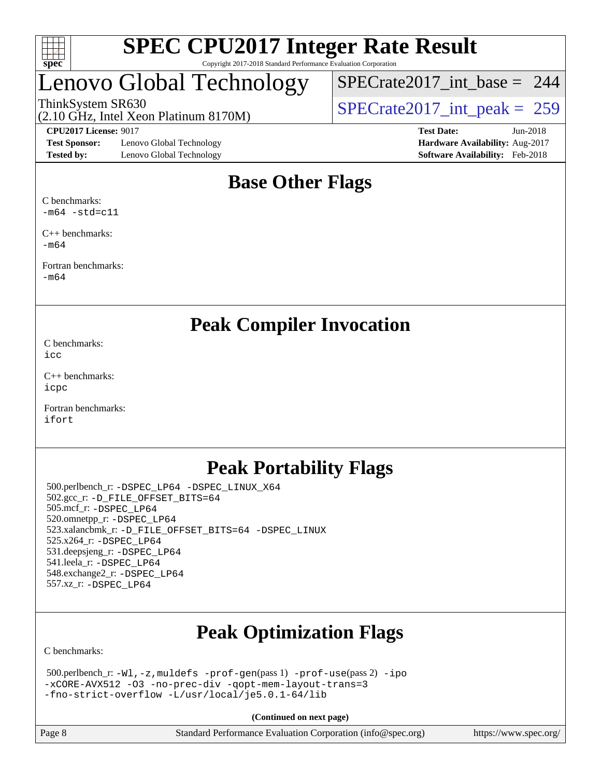

# Lenovo Global Technology

ThinkSystem SR630<br>(2.10 GHz, Intel Xeon Platinum 8170M)  $SPECrate2017\_int\_peak = 259$ [SPECrate2017\\_int\\_base =](http://www.spec.org/auto/cpu2017/Docs/result-fields.html#SPECrate2017intbase) 244

(2.10 GHz, Intel Xeon Platinum 8170M)

**[Test Sponsor:](http://www.spec.org/auto/cpu2017/Docs/result-fields.html#TestSponsor)** Lenovo Global Technology **[Hardware Availability:](http://www.spec.org/auto/cpu2017/Docs/result-fields.html#HardwareAvailability)** Aug-2017 **[Tested by:](http://www.spec.org/auto/cpu2017/Docs/result-fields.html#Testedby)** Lenovo Global Technology **[Software Availability:](http://www.spec.org/auto/cpu2017/Docs/result-fields.html#SoftwareAvailability)** Feb-2018

**[CPU2017 License:](http://www.spec.org/auto/cpu2017/Docs/result-fields.html#CPU2017License)** 9017 **[Test Date:](http://www.spec.org/auto/cpu2017/Docs/result-fields.html#TestDate)** Jun-2018

### **[Base Other Flags](http://www.spec.org/auto/cpu2017/Docs/result-fields.html#BaseOtherFlags)**

[C benchmarks:](http://www.spec.org/auto/cpu2017/Docs/result-fields.html#Cbenchmarks)  $-m64$   $-std=c11$ 

[C++ benchmarks:](http://www.spec.org/auto/cpu2017/Docs/result-fields.html#CXXbenchmarks) [-m64](http://www.spec.org/cpu2017/results/res2018q2/cpu2017-20180611-06749.flags.html#user_CXXbase_intel_intel64_18.0_af43caccfc8ded86e7699f2159af6efc7655f51387b94da716254467f3c01020a5059329e2569e4053f409e7c9202a7efc638f7a6d1ffb3f52dea4a3e31d82ab)

[Fortran benchmarks](http://www.spec.org/auto/cpu2017/Docs/result-fields.html#Fortranbenchmarks): [-m64](http://www.spec.org/cpu2017/results/res2018q2/cpu2017-20180611-06749.flags.html#user_FCbase_intel_intel64_18.0_af43caccfc8ded86e7699f2159af6efc7655f51387b94da716254467f3c01020a5059329e2569e4053f409e7c9202a7efc638f7a6d1ffb3f52dea4a3e31d82ab)

**[Peak Compiler Invocation](http://www.spec.org/auto/cpu2017/Docs/result-fields.html#PeakCompilerInvocation)**

[C benchmarks](http://www.spec.org/auto/cpu2017/Docs/result-fields.html#Cbenchmarks): [icc](http://www.spec.org/cpu2017/results/res2018q2/cpu2017-20180611-06749.flags.html#user_CCpeak_intel_icc_18.0_66fc1ee009f7361af1fbd72ca7dcefbb700085f36577c54f309893dd4ec40d12360134090235512931783d35fd58c0460139e722d5067c5574d8eaf2b3e37e92)

[C++ benchmarks:](http://www.spec.org/auto/cpu2017/Docs/result-fields.html#CXXbenchmarks) [icpc](http://www.spec.org/cpu2017/results/res2018q2/cpu2017-20180611-06749.flags.html#user_CXXpeak_intel_icpc_18.0_c510b6838c7f56d33e37e94d029a35b4a7bccf4766a728ee175e80a419847e808290a9b78be685c44ab727ea267ec2f070ec5dc83b407c0218cded6866a35d07)

[Fortran benchmarks](http://www.spec.org/auto/cpu2017/Docs/result-fields.html#Fortranbenchmarks): [ifort](http://www.spec.org/cpu2017/results/res2018q2/cpu2017-20180611-06749.flags.html#user_FCpeak_intel_ifort_18.0_8111460550e3ca792625aed983ce982f94888b8b503583aa7ba2b8303487b4d8a21a13e7191a45c5fd58ff318f48f9492884d4413fa793fd88dd292cad7027ca)

### **[Peak Portability Flags](http://www.spec.org/auto/cpu2017/Docs/result-fields.html#PeakPortabilityFlags)**

 500.perlbench\_r: [-DSPEC\\_LP64](http://www.spec.org/cpu2017/results/res2018q2/cpu2017-20180611-06749.flags.html#b500.perlbench_r_peakPORTABILITY_DSPEC_LP64) [-DSPEC\\_LINUX\\_X64](http://www.spec.org/cpu2017/results/res2018q2/cpu2017-20180611-06749.flags.html#b500.perlbench_r_peakCPORTABILITY_DSPEC_LINUX_X64) 502.gcc\_r: [-D\\_FILE\\_OFFSET\\_BITS=64](http://www.spec.org/cpu2017/results/res2018q2/cpu2017-20180611-06749.flags.html#user_peakPORTABILITY502_gcc_r_file_offset_bits_64_5ae949a99b284ddf4e95728d47cb0843d81b2eb0e18bdfe74bbf0f61d0b064f4bda2f10ea5eb90e1dcab0e84dbc592acfc5018bc955c18609f94ddb8d550002c) 505.mcf\_r: [-DSPEC\\_LP64](http://www.spec.org/cpu2017/results/res2018q2/cpu2017-20180611-06749.flags.html#suite_peakPORTABILITY505_mcf_r_DSPEC_LP64) 520.omnetpp\_r: [-DSPEC\\_LP64](http://www.spec.org/cpu2017/results/res2018q2/cpu2017-20180611-06749.flags.html#suite_peakPORTABILITY520_omnetpp_r_DSPEC_LP64) 523.xalancbmk\_r: [-D\\_FILE\\_OFFSET\\_BITS=64](http://www.spec.org/cpu2017/results/res2018q2/cpu2017-20180611-06749.flags.html#user_peakPORTABILITY523_xalancbmk_r_file_offset_bits_64_5ae949a99b284ddf4e95728d47cb0843d81b2eb0e18bdfe74bbf0f61d0b064f4bda2f10ea5eb90e1dcab0e84dbc592acfc5018bc955c18609f94ddb8d550002c) [-DSPEC\\_LINUX](http://www.spec.org/cpu2017/results/res2018q2/cpu2017-20180611-06749.flags.html#b523.xalancbmk_r_peakCXXPORTABILITY_DSPEC_LINUX) 525.x264\_r: [-DSPEC\\_LP64](http://www.spec.org/cpu2017/results/res2018q2/cpu2017-20180611-06749.flags.html#suite_peakPORTABILITY525_x264_r_DSPEC_LP64) 531.deepsjeng\_r: [-DSPEC\\_LP64](http://www.spec.org/cpu2017/results/res2018q2/cpu2017-20180611-06749.flags.html#suite_peakPORTABILITY531_deepsjeng_r_DSPEC_LP64) 541.leela\_r: [-DSPEC\\_LP64](http://www.spec.org/cpu2017/results/res2018q2/cpu2017-20180611-06749.flags.html#suite_peakPORTABILITY541_leela_r_DSPEC_LP64) 548.exchange2\_r: [-DSPEC\\_LP64](http://www.spec.org/cpu2017/results/res2018q2/cpu2017-20180611-06749.flags.html#suite_peakPORTABILITY548_exchange2_r_DSPEC_LP64) 557.xz\_r: [-DSPEC\\_LP64](http://www.spec.org/cpu2017/results/res2018q2/cpu2017-20180611-06749.flags.html#suite_peakPORTABILITY557_xz_r_DSPEC_LP64)

# **[Peak Optimization Flags](http://www.spec.org/auto/cpu2017/Docs/result-fields.html#PeakOptimizationFlags)**

[C benchmarks](http://www.spec.org/auto/cpu2017/Docs/result-fields.html#Cbenchmarks):

 500.perlbench\_r: [-Wl,-z,muldefs](http://www.spec.org/cpu2017/results/res2018q2/cpu2017-20180611-06749.flags.html#user_peakEXTRA_LDFLAGS500_perlbench_r_link_force_multiple1_b4cbdb97b34bdee9ceefcfe54f4c8ea74255f0b02a4b23e853cdb0e18eb4525ac79b5a88067c842dd0ee6996c24547a27a4b99331201badda8798ef8a743f577) [-prof-gen](http://www.spec.org/cpu2017/results/res2018q2/cpu2017-20180611-06749.flags.html#user_peakPASS1_CFLAGSPASS1_LDFLAGS500_perlbench_r_prof_gen_5aa4926d6013ddb2a31985c654b3eb18169fc0c6952a63635c234f711e6e63dd76e94ad52365559451ec499a2cdb89e4dc58ba4c67ef54ca681ffbe1461d6b36)(pass 1) [-prof-use](http://www.spec.org/cpu2017/results/res2018q2/cpu2017-20180611-06749.flags.html#user_peakPASS2_CFLAGSPASS2_LDFLAGS500_perlbench_r_prof_use_1a21ceae95f36a2b53c25747139a6c16ca95bd9def2a207b4f0849963b97e94f5260e30a0c64f4bb623698870e679ca08317ef8150905d41bd88c6f78df73f19)(pass 2) [-ipo](http://www.spec.org/cpu2017/results/res2018q2/cpu2017-20180611-06749.flags.html#user_peakPASS1_COPTIMIZEPASS2_COPTIMIZE500_perlbench_r_f-ipo) [-xCORE-AVX512](http://www.spec.org/cpu2017/results/res2018q2/cpu2017-20180611-06749.flags.html#user_peakPASS2_COPTIMIZE500_perlbench_r_f-xCORE-AVX512) [-O3](http://www.spec.org/cpu2017/results/res2018q2/cpu2017-20180611-06749.flags.html#user_peakPASS1_COPTIMIZEPASS2_COPTIMIZE500_perlbench_r_f-O3) [-no-prec-div](http://www.spec.org/cpu2017/results/res2018q2/cpu2017-20180611-06749.flags.html#user_peakPASS1_COPTIMIZEPASS2_COPTIMIZE500_perlbench_r_f-no-prec-div) [-qopt-mem-layout-trans=3](http://www.spec.org/cpu2017/results/res2018q2/cpu2017-20180611-06749.flags.html#user_peakPASS1_COPTIMIZEPASS2_COPTIMIZE500_perlbench_r_f-qopt-mem-layout-trans_de80db37974c74b1f0e20d883f0b675c88c3b01e9d123adea9b28688d64333345fb62bc4a798493513fdb68f60282f9a726aa07f478b2f7113531aecce732043) [-fno-strict-overflow](http://www.spec.org/cpu2017/results/res2018q2/cpu2017-20180611-06749.flags.html#user_peakEXTRA_OPTIMIZE500_perlbench_r_f-fno-strict-overflow) [-L/usr/local/je5.0.1-64/lib](http://www.spec.org/cpu2017/results/res2018q2/cpu2017-20180611-06749.flags.html#user_peakEXTRA_LIBS500_perlbench_r_jemalloc_link_path64_4b10a636b7bce113509b17f3bd0d6226c5fb2346b9178c2d0232c14f04ab830f976640479e5c33dc2bcbbdad86ecfb6634cbbd4418746f06f368b512fced5394)

**(Continued on next page)**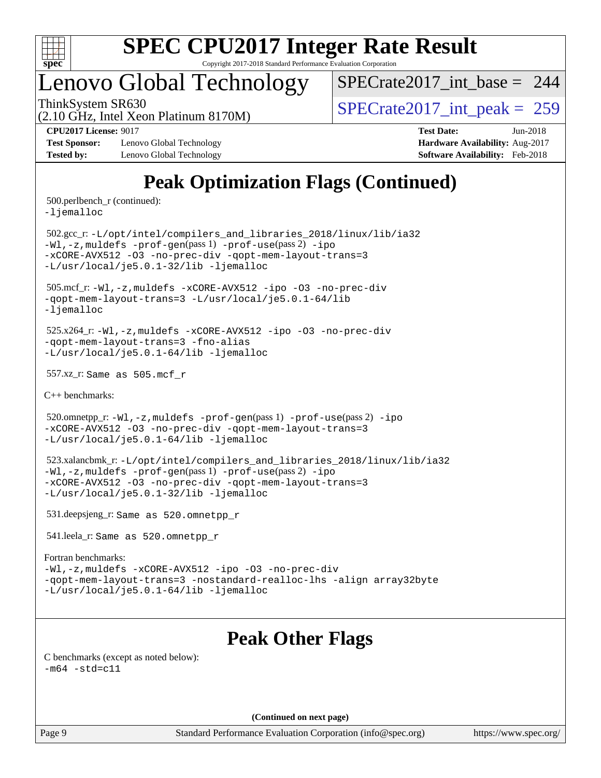

### Lenovo Global Technology

 $SPECrate2017\_int\_base = 244$ 

(2.10 GHz, Intel Xeon Platinum 8170M)

ThinkSystem SR630<br>  $\angle Q$  10 GHz, Intel Year Platinum 8170M

**[Test Sponsor:](http://www.spec.org/auto/cpu2017/Docs/result-fields.html#TestSponsor)** Lenovo Global Technology **[Hardware Availability:](http://www.spec.org/auto/cpu2017/Docs/result-fields.html#HardwareAvailability)** Aug-2017 **[Tested by:](http://www.spec.org/auto/cpu2017/Docs/result-fields.html#Testedby)** Lenovo Global Technology **[Software Availability:](http://www.spec.org/auto/cpu2017/Docs/result-fields.html#SoftwareAvailability)** Feb-2018

**[CPU2017 License:](http://www.spec.org/auto/cpu2017/Docs/result-fields.html#CPU2017License)** 9017 **[Test Date:](http://www.spec.org/auto/cpu2017/Docs/result-fields.html#TestDate)** Jun-2018

### **[Peak Optimization Flags \(Continued\)](http://www.spec.org/auto/cpu2017/Docs/result-fields.html#PeakOptimizationFlags)**

500.perlbench\_r (continued):

[-ljemalloc](http://www.spec.org/cpu2017/results/res2018q2/cpu2017-20180611-06749.flags.html#user_peakEXTRA_LIBS500_perlbench_r_jemalloc_link_lib_d1249b907c500fa1c0672f44f562e3d0f79738ae9e3c4a9c376d49f265a04b9c99b167ecedbf6711b3085be911c67ff61f150a17b3472be731631ba4d0471706)

 502.gcc\_r: [-L/opt/intel/compilers\\_and\\_libraries\\_2018/linux/lib/ia32](http://www.spec.org/cpu2017/results/res2018q2/cpu2017-20180611-06749.flags.html#user_peakCCLD502_gcc_r_Enable-32bit-runtime_af243bdb1d79e4c7a4f720bf8275e627de2ecd461de63307bc14cef0633fde3cd7bb2facb32dcc8be9566045fb55d40ce2b72b725f73827aa7833441b71b9343) [-Wl,-z,muldefs](http://www.spec.org/cpu2017/results/res2018q2/cpu2017-20180611-06749.flags.html#user_peakEXTRA_LDFLAGS502_gcc_r_link_force_multiple1_b4cbdb97b34bdee9ceefcfe54f4c8ea74255f0b02a4b23e853cdb0e18eb4525ac79b5a88067c842dd0ee6996c24547a27a4b99331201badda8798ef8a743f577) [-prof-gen](http://www.spec.org/cpu2017/results/res2018q2/cpu2017-20180611-06749.flags.html#user_peakPASS1_CFLAGSPASS1_LDFLAGS502_gcc_r_prof_gen_5aa4926d6013ddb2a31985c654b3eb18169fc0c6952a63635c234f711e6e63dd76e94ad52365559451ec499a2cdb89e4dc58ba4c67ef54ca681ffbe1461d6b36)(pass 1) [-prof-use](http://www.spec.org/cpu2017/results/res2018q2/cpu2017-20180611-06749.flags.html#user_peakPASS2_CFLAGSPASS2_LDFLAGS502_gcc_r_prof_use_1a21ceae95f36a2b53c25747139a6c16ca95bd9def2a207b4f0849963b97e94f5260e30a0c64f4bb623698870e679ca08317ef8150905d41bd88c6f78df73f19)(pass 2) [-ipo](http://www.spec.org/cpu2017/results/res2018q2/cpu2017-20180611-06749.flags.html#user_peakPASS1_COPTIMIZEPASS2_COPTIMIZE502_gcc_r_f-ipo) [-xCORE-AVX512](http://www.spec.org/cpu2017/results/res2018q2/cpu2017-20180611-06749.flags.html#user_peakPASS2_COPTIMIZE502_gcc_r_f-xCORE-AVX512) [-O3](http://www.spec.org/cpu2017/results/res2018q2/cpu2017-20180611-06749.flags.html#user_peakPASS1_COPTIMIZEPASS2_COPTIMIZE502_gcc_r_f-O3) [-no-prec-div](http://www.spec.org/cpu2017/results/res2018q2/cpu2017-20180611-06749.flags.html#user_peakPASS1_COPTIMIZEPASS2_COPTIMIZE502_gcc_r_f-no-prec-div) [-qopt-mem-layout-trans=3](http://www.spec.org/cpu2017/results/res2018q2/cpu2017-20180611-06749.flags.html#user_peakPASS1_COPTIMIZEPASS2_COPTIMIZE502_gcc_r_f-qopt-mem-layout-trans_de80db37974c74b1f0e20d883f0b675c88c3b01e9d123adea9b28688d64333345fb62bc4a798493513fdb68f60282f9a726aa07f478b2f7113531aecce732043) [-L/usr/local/je5.0.1-32/lib](http://www.spec.org/cpu2017/results/res2018q2/cpu2017-20180611-06749.flags.html#user_peakEXTRA_LIBS502_gcc_r_jemalloc_link_path32_e29f22e8e6c17053bbc6a0971f5a9c01a601a06bb1a59df2084b77a2fe0a2995b64fd4256feaeea39eeba3aae142e96e2b2b0a28974019c0c0c88139a84f900a) [-ljemalloc](http://www.spec.org/cpu2017/results/res2018q2/cpu2017-20180611-06749.flags.html#user_peakEXTRA_LIBS502_gcc_r_jemalloc_link_lib_d1249b907c500fa1c0672f44f562e3d0f79738ae9e3c4a9c376d49f265a04b9c99b167ecedbf6711b3085be911c67ff61f150a17b3472be731631ba4d0471706)

 505.mcf\_r: [-Wl,-z,muldefs](http://www.spec.org/cpu2017/results/res2018q2/cpu2017-20180611-06749.flags.html#user_peakEXTRA_LDFLAGS505_mcf_r_link_force_multiple1_b4cbdb97b34bdee9ceefcfe54f4c8ea74255f0b02a4b23e853cdb0e18eb4525ac79b5a88067c842dd0ee6996c24547a27a4b99331201badda8798ef8a743f577) [-xCORE-AVX512](http://www.spec.org/cpu2017/results/res2018q2/cpu2017-20180611-06749.flags.html#user_peakCOPTIMIZE505_mcf_r_f-xCORE-AVX512) [-ipo](http://www.spec.org/cpu2017/results/res2018q2/cpu2017-20180611-06749.flags.html#user_peakCOPTIMIZE505_mcf_r_f-ipo) [-O3](http://www.spec.org/cpu2017/results/res2018q2/cpu2017-20180611-06749.flags.html#user_peakCOPTIMIZE505_mcf_r_f-O3) [-no-prec-div](http://www.spec.org/cpu2017/results/res2018q2/cpu2017-20180611-06749.flags.html#user_peakCOPTIMIZE505_mcf_r_f-no-prec-div) [-qopt-mem-layout-trans=3](http://www.spec.org/cpu2017/results/res2018q2/cpu2017-20180611-06749.flags.html#user_peakCOPTIMIZE505_mcf_r_f-qopt-mem-layout-trans_de80db37974c74b1f0e20d883f0b675c88c3b01e9d123adea9b28688d64333345fb62bc4a798493513fdb68f60282f9a726aa07f478b2f7113531aecce732043) [-L/usr/local/je5.0.1-64/lib](http://www.spec.org/cpu2017/results/res2018q2/cpu2017-20180611-06749.flags.html#user_peakEXTRA_LIBS505_mcf_r_jemalloc_link_path64_4b10a636b7bce113509b17f3bd0d6226c5fb2346b9178c2d0232c14f04ab830f976640479e5c33dc2bcbbdad86ecfb6634cbbd4418746f06f368b512fced5394) [-ljemalloc](http://www.spec.org/cpu2017/results/res2018q2/cpu2017-20180611-06749.flags.html#user_peakEXTRA_LIBS505_mcf_r_jemalloc_link_lib_d1249b907c500fa1c0672f44f562e3d0f79738ae9e3c4a9c376d49f265a04b9c99b167ecedbf6711b3085be911c67ff61f150a17b3472be731631ba4d0471706)

 525.x264\_r: [-Wl,-z,muldefs](http://www.spec.org/cpu2017/results/res2018q2/cpu2017-20180611-06749.flags.html#user_peakEXTRA_LDFLAGS525_x264_r_link_force_multiple1_b4cbdb97b34bdee9ceefcfe54f4c8ea74255f0b02a4b23e853cdb0e18eb4525ac79b5a88067c842dd0ee6996c24547a27a4b99331201badda8798ef8a743f577) [-xCORE-AVX512](http://www.spec.org/cpu2017/results/res2018q2/cpu2017-20180611-06749.flags.html#user_peakCOPTIMIZE525_x264_r_f-xCORE-AVX512) [-ipo](http://www.spec.org/cpu2017/results/res2018q2/cpu2017-20180611-06749.flags.html#user_peakCOPTIMIZE525_x264_r_f-ipo) [-O3](http://www.spec.org/cpu2017/results/res2018q2/cpu2017-20180611-06749.flags.html#user_peakCOPTIMIZE525_x264_r_f-O3) [-no-prec-div](http://www.spec.org/cpu2017/results/res2018q2/cpu2017-20180611-06749.flags.html#user_peakCOPTIMIZE525_x264_r_f-no-prec-div) [-qopt-mem-layout-trans=3](http://www.spec.org/cpu2017/results/res2018q2/cpu2017-20180611-06749.flags.html#user_peakCOPTIMIZE525_x264_r_f-qopt-mem-layout-trans_de80db37974c74b1f0e20d883f0b675c88c3b01e9d123adea9b28688d64333345fb62bc4a798493513fdb68f60282f9a726aa07f478b2f7113531aecce732043) [-fno-alias](http://www.spec.org/cpu2017/results/res2018q2/cpu2017-20180611-06749.flags.html#user_peakEXTRA_OPTIMIZE525_x264_r_f-no-alias_77dbac10d91cbfe898fbf4a29d1b29b694089caa623bdd1baccc9957d4edbe8d106c0b357e2748a65b44fc9e83d78098bb898077f3fe92f9faf24f7bd4a07ed7) [-L/usr/local/je5.0.1-64/lib](http://www.spec.org/cpu2017/results/res2018q2/cpu2017-20180611-06749.flags.html#user_peakEXTRA_LIBS525_x264_r_jemalloc_link_path64_4b10a636b7bce113509b17f3bd0d6226c5fb2346b9178c2d0232c14f04ab830f976640479e5c33dc2bcbbdad86ecfb6634cbbd4418746f06f368b512fced5394) [-ljemalloc](http://www.spec.org/cpu2017/results/res2018q2/cpu2017-20180611-06749.flags.html#user_peakEXTRA_LIBS525_x264_r_jemalloc_link_lib_d1249b907c500fa1c0672f44f562e3d0f79738ae9e3c4a9c376d49f265a04b9c99b167ecedbf6711b3085be911c67ff61f150a17b3472be731631ba4d0471706)

557.xz\_r: Same as 505.mcf\_r

[C++ benchmarks:](http://www.spec.org/auto/cpu2017/Docs/result-fields.html#CXXbenchmarks)

520.omnetpp\_r: $-Wl$ ,-z,muldefs -prof-qen(pass 1) [-prof-use](http://www.spec.org/cpu2017/results/res2018q2/cpu2017-20180611-06749.flags.html#user_peakPASS2_CXXFLAGSPASS2_LDFLAGS520_omnetpp_r_prof_use_1a21ceae95f36a2b53c25747139a6c16ca95bd9def2a207b4f0849963b97e94f5260e30a0c64f4bb623698870e679ca08317ef8150905d41bd88c6f78df73f19)(pass 2) [-ipo](http://www.spec.org/cpu2017/results/res2018q2/cpu2017-20180611-06749.flags.html#user_peakPASS1_CXXOPTIMIZEPASS2_CXXOPTIMIZE520_omnetpp_r_f-ipo) [-xCORE-AVX512](http://www.spec.org/cpu2017/results/res2018q2/cpu2017-20180611-06749.flags.html#user_peakPASS2_CXXOPTIMIZE520_omnetpp_r_f-xCORE-AVX512) [-O3](http://www.spec.org/cpu2017/results/res2018q2/cpu2017-20180611-06749.flags.html#user_peakPASS1_CXXOPTIMIZEPASS2_CXXOPTIMIZE520_omnetpp_r_f-O3) [-no-prec-div](http://www.spec.org/cpu2017/results/res2018q2/cpu2017-20180611-06749.flags.html#user_peakPASS1_CXXOPTIMIZEPASS2_CXXOPTIMIZE520_omnetpp_r_f-no-prec-div) [-qopt-mem-layout-trans=3](http://www.spec.org/cpu2017/results/res2018q2/cpu2017-20180611-06749.flags.html#user_peakPASS1_CXXOPTIMIZEPASS2_CXXOPTIMIZE520_omnetpp_r_f-qopt-mem-layout-trans_de80db37974c74b1f0e20d883f0b675c88c3b01e9d123adea9b28688d64333345fb62bc4a798493513fdb68f60282f9a726aa07f478b2f7113531aecce732043) [-L/usr/local/je5.0.1-64/lib](http://www.spec.org/cpu2017/results/res2018q2/cpu2017-20180611-06749.flags.html#user_peakEXTRA_LIBS520_omnetpp_r_jemalloc_link_path64_4b10a636b7bce113509b17f3bd0d6226c5fb2346b9178c2d0232c14f04ab830f976640479e5c33dc2bcbbdad86ecfb6634cbbd4418746f06f368b512fced5394) [-ljemalloc](http://www.spec.org/cpu2017/results/res2018q2/cpu2017-20180611-06749.flags.html#user_peakEXTRA_LIBS520_omnetpp_r_jemalloc_link_lib_d1249b907c500fa1c0672f44f562e3d0f79738ae9e3c4a9c376d49f265a04b9c99b167ecedbf6711b3085be911c67ff61f150a17b3472be731631ba4d0471706)

 523.xalancbmk\_r: [-L/opt/intel/compilers\\_and\\_libraries\\_2018/linux/lib/ia32](http://www.spec.org/cpu2017/results/res2018q2/cpu2017-20180611-06749.flags.html#user_peakCXXLD523_xalancbmk_r_Enable-32bit-runtime_af243bdb1d79e4c7a4f720bf8275e627de2ecd461de63307bc14cef0633fde3cd7bb2facb32dcc8be9566045fb55d40ce2b72b725f73827aa7833441b71b9343) [-Wl,-z,muldefs](http://www.spec.org/cpu2017/results/res2018q2/cpu2017-20180611-06749.flags.html#user_peakEXTRA_LDFLAGS523_xalancbmk_r_link_force_multiple1_b4cbdb97b34bdee9ceefcfe54f4c8ea74255f0b02a4b23e853cdb0e18eb4525ac79b5a88067c842dd0ee6996c24547a27a4b99331201badda8798ef8a743f577) [-prof-gen](http://www.spec.org/cpu2017/results/res2018q2/cpu2017-20180611-06749.flags.html#user_peakPASS1_CXXFLAGSPASS1_LDFLAGS523_xalancbmk_r_prof_gen_5aa4926d6013ddb2a31985c654b3eb18169fc0c6952a63635c234f711e6e63dd76e94ad52365559451ec499a2cdb89e4dc58ba4c67ef54ca681ffbe1461d6b36)(pass 1) [-prof-use](http://www.spec.org/cpu2017/results/res2018q2/cpu2017-20180611-06749.flags.html#user_peakPASS2_CXXFLAGSPASS2_LDFLAGS523_xalancbmk_r_prof_use_1a21ceae95f36a2b53c25747139a6c16ca95bd9def2a207b4f0849963b97e94f5260e30a0c64f4bb623698870e679ca08317ef8150905d41bd88c6f78df73f19)(pass 2) [-ipo](http://www.spec.org/cpu2017/results/res2018q2/cpu2017-20180611-06749.flags.html#user_peakPASS1_CXXOPTIMIZEPASS2_CXXOPTIMIZE523_xalancbmk_r_f-ipo) [-xCORE-AVX512](http://www.spec.org/cpu2017/results/res2018q2/cpu2017-20180611-06749.flags.html#user_peakPASS2_CXXOPTIMIZE523_xalancbmk_r_f-xCORE-AVX512) [-O3](http://www.spec.org/cpu2017/results/res2018q2/cpu2017-20180611-06749.flags.html#user_peakPASS1_CXXOPTIMIZEPASS2_CXXOPTIMIZE523_xalancbmk_r_f-O3) [-no-prec-div](http://www.spec.org/cpu2017/results/res2018q2/cpu2017-20180611-06749.flags.html#user_peakPASS1_CXXOPTIMIZEPASS2_CXXOPTIMIZE523_xalancbmk_r_f-no-prec-div) [-qopt-mem-layout-trans=3](http://www.spec.org/cpu2017/results/res2018q2/cpu2017-20180611-06749.flags.html#user_peakPASS1_CXXOPTIMIZEPASS2_CXXOPTIMIZE523_xalancbmk_r_f-qopt-mem-layout-trans_de80db37974c74b1f0e20d883f0b675c88c3b01e9d123adea9b28688d64333345fb62bc4a798493513fdb68f60282f9a726aa07f478b2f7113531aecce732043) [-L/usr/local/je5.0.1-32/lib](http://www.spec.org/cpu2017/results/res2018q2/cpu2017-20180611-06749.flags.html#user_peakEXTRA_LIBS523_xalancbmk_r_jemalloc_link_path32_e29f22e8e6c17053bbc6a0971f5a9c01a601a06bb1a59df2084b77a2fe0a2995b64fd4256feaeea39eeba3aae142e96e2b2b0a28974019c0c0c88139a84f900a) [-ljemalloc](http://www.spec.org/cpu2017/results/res2018q2/cpu2017-20180611-06749.flags.html#user_peakEXTRA_LIBS523_xalancbmk_r_jemalloc_link_lib_d1249b907c500fa1c0672f44f562e3d0f79738ae9e3c4a9c376d49f265a04b9c99b167ecedbf6711b3085be911c67ff61f150a17b3472be731631ba4d0471706)

531.deepsjeng\_r: Same as 520.omnetpp\_r

541.leela\_r: Same as 520.omnetpp\_r

#### [Fortran benchmarks](http://www.spec.org/auto/cpu2017/Docs/result-fields.html#Fortranbenchmarks):

[-Wl,-z,muldefs](http://www.spec.org/cpu2017/results/res2018q2/cpu2017-20180611-06749.flags.html#user_FCpeak_link_force_multiple1_b4cbdb97b34bdee9ceefcfe54f4c8ea74255f0b02a4b23e853cdb0e18eb4525ac79b5a88067c842dd0ee6996c24547a27a4b99331201badda8798ef8a743f577) [-xCORE-AVX512](http://www.spec.org/cpu2017/results/res2018q2/cpu2017-20180611-06749.flags.html#user_FCpeak_f-xCORE-AVX512) [-ipo](http://www.spec.org/cpu2017/results/res2018q2/cpu2017-20180611-06749.flags.html#user_FCpeak_f-ipo) [-O3](http://www.spec.org/cpu2017/results/res2018q2/cpu2017-20180611-06749.flags.html#user_FCpeak_f-O3) [-no-prec-div](http://www.spec.org/cpu2017/results/res2018q2/cpu2017-20180611-06749.flags.html#user_FCpeak_f-no-prec-div) [-qopt-mem-layout-trans=3](http://www.spec.org/cpu2017/results/res2018q2/cpu2017-20180611-06749.flags.html#user_FCpeak_f-qopt-mem-layout-trans_de80db37974c74b1f0e20d883f0b675c88c3b01e9d123adea9b28688d64333345fb62bc4a798493513fdb68f60282f9a726aa07f478b2f7113531aecce732043) [-nostandard-realloc-lhs](http://www.spec.org/cpu2017/results/res2018q2/cpu2017-20180611-06749.flags.html#user_FCpeak_f_2003_std_realloc_82b4557e90729c0f113870c07e44d33d6f5a304b4f63d4c15d2d0f1fab99f5daaed73bdb9275d9ae411527f28b936061aa8b9c8f2d63842963b95c9dd6426b8a) [-align array32byte](http://www.spec.org/cpu2017/results/res2018q2/cpu2017-20180611-06749.flags.html#user_FCpeak_align_array32byte_b982fe038af199962ba9a80c053b8342c548c85b40b8e86eb3cc33dee0d7986a4af373ac2d51c3f7cf710a18d62fdce2948f201cd044323541f22fc0fffc51b6) [-L/usr/local/je5.0.1-64/lib](http://www.spec.org/cpu2017/results/res2018q2/cpu2017-20180611-06749.flags.html#user_FCpeak_jemalloc_link_path64_4b10a636b7bce113509b17f3bd0d6226c5fb2346b9178c2d0232c14f04ab830f976640479e5c33dc2bcbbdad86ecfb6634cbbd4418746f06f368b512fced5394) [-ljemalloc](http://www.spec.org/cpu2017/results/res2018q2/cpu2017-20180611-06749.flags.html#user_FCpeak_jemalloc_link_lib_d1249b907c500fa1c0672f44f562e3d0f79738ae9e3c4a9c376d49f265a04b9c99b167ecedbf6711b3085be911c67ff61f150a17b3472be731631ba4d0471706)

### **[Peak Other Flags](http://www.spec.org/auto/cpu2017/Docs/result-fields.html#PeakOtherFlags)**

[C benchmarks \(except as noted below\)](http://www.spec.org/auto/cpu2017/Docs/result-fields.html#Cbenchmarksexceptasnotedbelow):  $-m64 - std= c11$  $-m64 - std= c11$ 

**(Continued on next page)**

Page 9 Standard Performance Evaluation Corporation [\(info@spec.org\)](mailto:info@spec.org) <https://www.spec.org/>